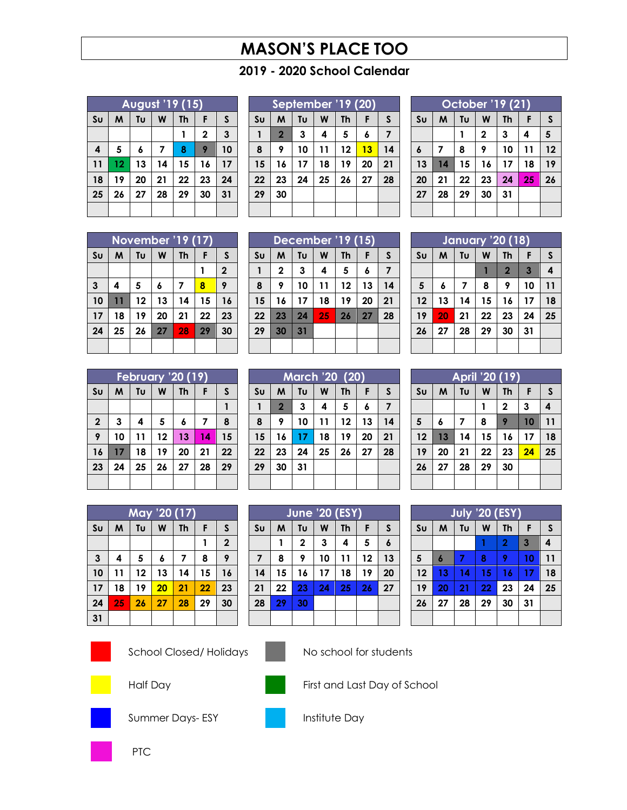# **MASON'S PLACE TOO**

## **- 2020 School Calendar**

| <b>August '19 (15)</b> |    |    |    |           |             |              |  |  |
|------------------------|----|----|----|-----------|-------------|--------------|--|--|
| S <sub>U</sub>         | M  | Tυ | W  | <b>Th</b> | F           | $\mathsf{s}$ |  |  |
|                        |    |    |    |           | $\mathbf 2$ | 3            |  |  |
| 4                      | 5  | 6  | 7  | 8         | 9           | 10           |  |  |
| 11                     | 12 | 13 | 14 | 15        | 16          | 17           |  |  |
| 18                     | 19 | 20 | 21 | 22        | 23          | 24           |  |  |
| 25                     | 26 | 27 | 28 | 29        | 30          | 31           |  |  |
|                        |    |    |    |           |             |              |  |  |

| September '19 (20) |                |    |    |           |    |    |  |  |
|--------------------|----------------|----|----|-----------|----|----|--|--|
| S <sub>U</sub>     | M              | Tυ | W  | <b>Th</b> | F  | S  |  |  |
|                    | $\overline{2}$ | 3  | 4  | 5         | 6  | 7  |  |  |
| 8                  | 9              | 10 | 11 | 12        | 13 | 14 |  |  |
| 15                 | 16             | 17 | 18 | 19        | 20 | 21 |  |  |
| 22                 | 23             | 24 | 25 | 26        | 27 | 28 |  |  |
| 29                 | 30             |    |    |           |    |    |  |  |
|                    |                |    |    |           |    |    |  |  |

| October '19 (21) |                         |    |             |           |    |    |  |  |
|------------------|-------------------------|----|-------------|-----------|----|----|--|--|
| S <sub>U</sub>   | M                       | Tu | W           | <b>Th</b> | F  | S  |  |  |
|                  |                         |    | $\mathbf 2$ | 3         | 4  | 5  |  |  |
| $\boldsymbol{6}$ | $\overline{\mathbf{z}}$ | 8  | 9           | 10        | 11 | 12 |  |  |
| 13               | 14                      | 15 | 16          | 17        | 18 | 19 |  |  |
| 20               | 21                      | 22 | 23          | 24        | 25 | 26 |  |  |
| 27               | 28                      | 29 | 30          | 31        |    |    |  |  |
|                  |                         |    |             |           |    |    |  |  |

| <b>November '19 (17)</b> |    |    |    |    |    |                |  |  |
|--------------------------|----|----|----|----|----|----------------|--|--|
| $\mathsf{S}\mathsf{u}$   | M  | Tυ | W  | Th | F  | $\mathsf{s}$   |  |  |
|                          |    |    |    |    |    | $\overline{2}$ |  |  |
| 3                        | 4  | 5  | 6  | 7  | 8  | 9              |  |  |
| 10                       | 11 | 12 | 13 | 14 | 15 | 16             |  |  |
| 17                       | 18 | 19 | 20 | 21 | 22 | 23             |  |  |
| 24                       | 25 | 26 | 27 | 28 | 29 | 30             |  |  |
|                          |    |    |    |    |    |                |  |  |

| December '19 (15) |             |    |    |           |    |    |  |
|-------------------|-------------|----|----|-----------|----|----|--|
| S <sub>U</sub>    | M           | Tυ | W  | <b>Th</b> | F  | S  |  |
|                   | $\mathbf 2$ | 3  | 4  | 5         | 6  | 7  |  |
| 8                 | 9           | 10 | 11 | 12        | 13 | 14 |  |
| 15                | 16          | 17 | 18 | 19        | 20 | 21 |  |
| 22                | 23          | 24 | 25 | 26        | 27 | 28 |  |
| 29                | 30          | 31 |    |           |    |    |  |
|                   |             |    |    |           |    |    |  |

| <b>January '20 (18)</b> |    |    |    |                |    |              |  |  |
|-------------------------|----|----|----|----------------|----|--------------|--|--|
| S <sub>U</sub>          | M  | Tυ | W  | <b>Th</b>      | F  | $\mathsf{s}$ |  |  |
|                         |    |    |    | $\overline{2}$ | 3  | 4            |  |  |
| 5                       | 6  | 7  | 8  | 9              | 10 | 11           |  |  |
| 12                      | 13 | 14 | 15 | 16             | 17 | 18           |  |  |
| 19                      | 20 | 21 | 22 | 23             | 24 | 25           |  |  |
| 26                      | 27 | 28 | 29 | 30             | 31 |              |  |  |
|                         |    |    |    |                |    |              |  |  |

| February '20 (19) |    |    |    |           |    |    |  |  |
|-------------------|----|----|----|-----------|----|----|--|--|
| S <sub>U</sub>    | M  | Tυ | W  | <b>Th</b> | F  | S  |  |  |
|                   |    |    |    |           |    |    |  |  |
| $\boldsymbol{2}$  | 3  | 4  | 5  | 6         | 7  | 8  |  |  |
| 9                 | 10 | 11 | 12 | 13        | 14 | 15 |  |  |
| 16                | 17 | 18 | 19 | 20        | 21 | 22 |  |  |
| 23                | 24 | 25 | 26 | 27        | 28 | 29 |  |  |
|                   |    |    |    |           |    |    |  |  |

| <b>March '20 (20)</b> |                |    |    |           |    |              |  |  |
|-----------------------|----------------|----|----|-----------|----|--------------|--|--|
| S <sub>U</sub>        | M              | Tυ | W  | <b>Th</b> | F  | $\mathsf{s}$ |  |  |
|                       | $\overline{2}$ | 3  | 4  | 5         | 6  | 7            |  |  |
| 8                     | 9              | 10 | 11 | 12        | 13 | 14           |  |  |
| 15                    | 16             | 17 | 18 | 19        | 20 | 21           |  |  |
| 22                    | 23             | 24 | 25 | 26        | 27 | 28           |  |  |
| 29                    | 30             | 31 |    |           |    |              |  |  |
|                       |                |    |    |           |    |              |  |  |

|                | April '20 (19) |    |    |           |    |              |  |  |  |
|----------------|----------------|----|----|-----------|----|--------------|--|--|--|
| S <sub>U</sub> | M              | Tυ | W  | <b>Th</b> | F  | $\mathsf{s}$ |  |  |  |
|                |                |    |    | 2         | 3  | 4            |  |  |  |
| $5\phantom{1}$ | 6              | 7  | 8  | 9         | 10 | 11           |  |  |  |
| 12             | 13             | 14 | 15 | 16        | 17 | 18           |  |  |  |
| 19             | 20             | 21 | 22 | 23        | 24 | 25           |  |  |  |
| 26             | 27             | 28 | 29 | 30        |    |              |  |  |  |
|                |                |    |    |           |    |              |  |  |  |

| May '20 (17)   |    |    |    |           |    |                |  |  |
|----------------|----|----|----|-----------|----|----------------|--|--|
| S <sub>U</sub> | M  | Tυ | W  | <b>Th</b> | F  | S              |  |  |
|                |    |    |    |           | 1  | $\overline{2}$ |  |  |
| $\mathbf{3}$   | 4  | 5  | 6  | 7         | 8  | 9              |  |  |
| 10             | 11 | 12 | 13 | 14        | 15 | 16             |  |  |
| 17             | 18 | 19 | 20 | 21        | 22 | 23             |  |  |
| 24             | 25 | 26 | 27 | 28        | 29 | 30             |  |  |
| 31             |    |    |    |           |    |                |  |  |

|                | <b>June '20 (ESY)</b> |             |    |           |    |                  |  |  |
|----------------|-----------------------|-------------|----|-----------|----|------------------|--|--|
| S <sub>U</sub> | M                     | Tυ          | W  | <b>Th</b> | F  | S                |  |  |
|                |                       | $\mathbf 2$ | 3  | 4         | 5  | $\boldsymbol{6}$ |  |  |
| $\overline{7}$ | 8                     | 9           | 10 | 11        | 12 | 13               |  |  |
| 14             | 15                    | 16          | 17 | 18        | 19 | 20               |  |  |
| 21             | 22                    | 23          | 24 | 25        | 26 | 27               |  |  |
| 28             | 29                    | 30          |    |           |    |                  |  |  |
|                |                       |             |    |           |    |                  |  |  |

| <b>July '20 (ESY)</b> |    |    |    |                |                |              |  |  |
|-----------------------|----|----|----|----------------|----------------|--------------|--|--|
| Su                    | M  | Tυ | W  | <b>Th</b>      | F              | $\mathsf{s}$ |  |  |
|                       |    |    |    | $\overline{2}$ | $\overline{3}$ | 4            |  |  |
| $\overline{5}$        | 6  | 7  | 8  | 9              | 10             | 11           |  |  |
| 12                    | 13 | 14 | 15 | 16             | 17             | 18           |  |  |
| 19                    | 20 | 21 | 22 | 23             | 24             | 25           |  |  |
| 26                    | 27 | 28 | 29 | 30             | 31             |              |  |  |
|                       |    |    |    |                |                |              |  |  |





School Closed/ Holidays No school for students





Half Day **First and Last Day of School** 



Summer Days- ESY **Institute Day** 





PTC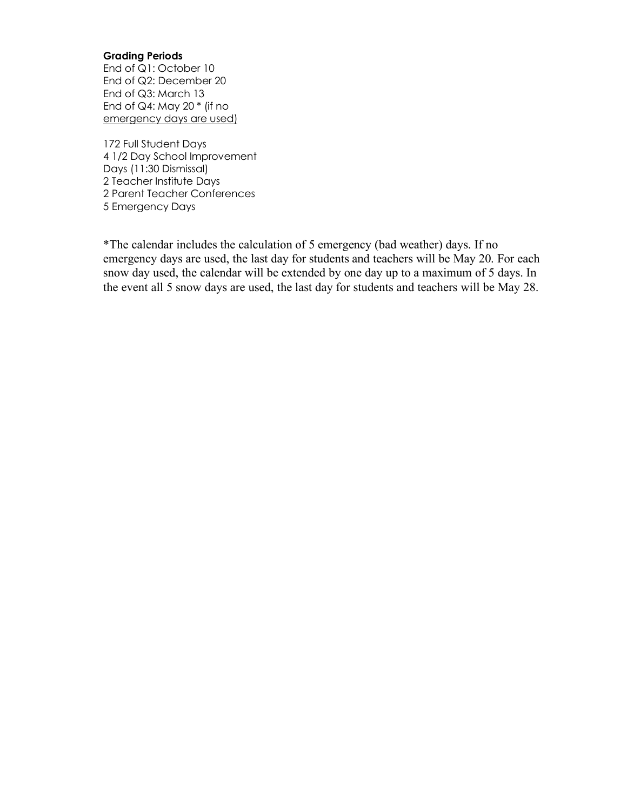#### **Grading Periods**

End of Q1: October 10 End of Q2: December 20 End of Q3: March 13 End of Q4: May 20  $*$  (if no emergency days are used)

172 Full Student Days 4 1/2 Day School Improvement Days (11:30 Dismissal) 2 Teacher Institute Days 2 Parent Teacher Conferences 5 Emergency Days

\*The calendar includes the calculation of 5 emergency (bad weather) days. If no emergency days are used, the last day for students and teachers will be May 20. For each snow day used, the calendar will be extended by one day up to a maximum of 5 days. In the event all 5 snow days are used, the last day for students and teachers will be May 28.